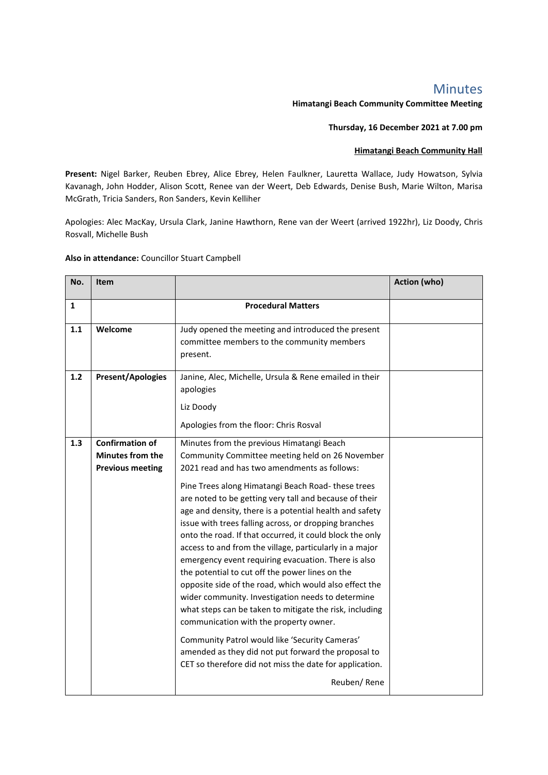## Minutes

## **Himatangi Beach Community Committee Meeting**

## **Thursday, 16 December 2021 at 7.00 pm**

## **Himatangi Beach Community Hall**

**Present:** Nigel Barker, Reuben Ebrey, Alice Ebrey, Helen Faulkner, Lauretta Wallace, Judy Howatson, Sylvia Kavanagh, John Hodder, Alison Scott, Renee van der Weert, Deb Edwards, Denise Bush, Marie Wilton, Marisa McGrath, Tricia Sanders, Ron Sanders, Kevin Kelliher

Apologies: Alec MacKay, Ursula Clark, Janine Hawthorn, Rene van der Weert (arrived 1922hr), Liz Doody, Chris Rosvall, Michelle Bush

**Also in attendance:** Councillor Stuart Campbell

| No.          | Item                                                                         |                                                                                                                                                                                                                                                                                                                                                                                                                                                                                                                                                                                                                                                                                                                                                                                                                                                                                                                                                                                                                         | <b>Action (who)</b> |
|--------------|------------------------------------------------------------------------------|-------------------------------------------------------------------------------------------------------------------------------------------------------------------------------------------------------------------------------------------------------------------------------------------------------------------------------------------------------------------------------------------------------------------------------------------------------------------------------------------------------------------------------------------------------------------------------------------------------------------------------------------------------------------------------------------------------------------------------------------------------------------------------------------------------------------------------------------------------------------------------------------------------------------------------------------------------------------------------------------------------------------------|---------------------|
| $\mathbf{1}$ |                                                                              | <b>Procedural Matters</b>                                                                                                                                                                                                                                                                                                                                                                                                                                                                                                                                                                                                                                                                                                                                                                                                                                                                                                                                                                                               |                     |
| 1.1          | Welcome                                                                      | Judy opened the meeting and introduced the present<br>committee members to the community members<br>present.                                                                                                                                                                                                                                                                                                                                                                                                                                                                                                                                                                                                                                                                                                                                                                                                                                                                                                            |                     |
| 1.2          | <b>Present/Apologies</b>                                                     | Janine, Alec, Michelle, Ursula & Rene emailed in their<br>apologies<br>Liz Doody<br>Apologies from the floor: Chris Rosval                                                                                                                                                                                                                                                                                                                                                                                                                                                                                                                                                                                                                                                                                                                                                                                                                                                                                              |                     |
| 1.3          | <b>Confirmation of</b><br><b>Minutes from the</b><br><b>Previous meeting</b> | Minutes from the previous Himatangi Beach<br>Community Committee meeting held on 26 November<br>2021 read and has two amendments as follows:<br>Pine Trees along Himatangi Beach Road-these trees<br>are noted to be getting very tall and because of their<br>age and density, there is a potential health and safety<br>issue with trees falling across, or dropping branches<br>onto the road. If that occurred, it could block the only<br>access to and from the village, particularly in a major<br>emergency event requiring evacuation. There is also<br>the potential to cut off the power lines on the<br>opposite side of the road, which would also effect the<br>wider community. Investigation needs to determine<br>what steps can be taken to mitigate the risk, including<br>communication with the property owner.<br>Community Patrol would like 'Security Cameras'<br>amended as they did not put forward the proposal to<br>CET so therefore did not miss the date for application.<br>Reuben/Rene |                     |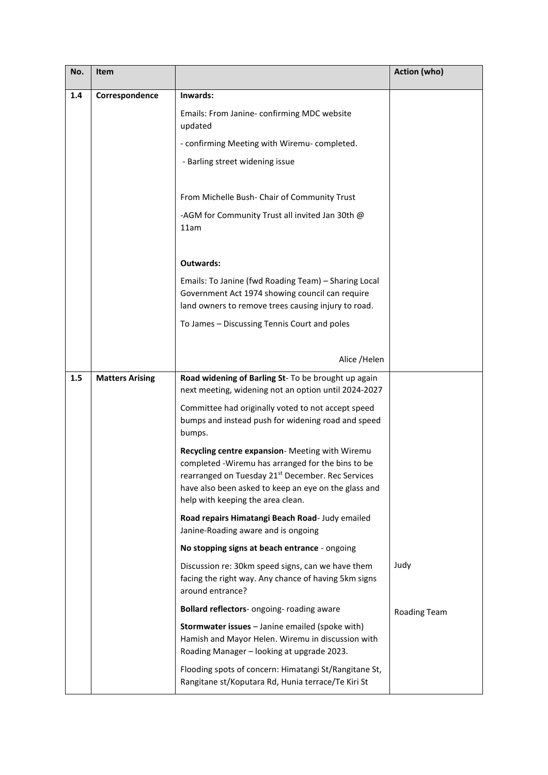| No. | Item                   |                                                                                                                                                                                                                                                                    | Action (who)        |
|-----|------------------------|--------------------------------------------------------------------------------------------------------------------------------------------------------------------------------------------------------------------------------------------------------------------|---------------------|
| 1.4 | Correspondence         | Inwards:                                                                                                                                                                                                                                                           |                     |
|     |                        | Emails: From Janine- confirming MDC website<br>updated                                                                                                                                                                                                             |                     |
|     |                        | - confirming Meeting with Wiremu-completed.                                                                                                                                                                                                                        |                     |
|     |                        | - Barling street widening issue                                                                                                                                                                                                                                    |                     |
|     |                        | From Michelle Bush- Chair of Community Trust                                                                                                                                                                                                                       |                     |
|     |                        | -AGM for Community Trust all invited Jan 30th @<br>11am                                                                                                                                                                                                            |                     |
|     |                        | Outwards:                                                                                                                                                                                                                                                          |                     |
|     |                        | Emails: To Janine (fwd Roading Team) - Sharing Local<br>Government Act 1974 showing council can require<br>land owners to remove trees causing injury to road.                                                                                                     |                     |
|     |                        | To James - Discussing Tennis Court and poles                                                                                                                                                                                                                       |                     |
|     |                        | Alice /Helen                                                                                                                                                                                                                                                       |                     |
| 1.5 | <b>Matters Arising</b> | Road widening of Barling St- To be brought up again<br>next meeting, widening not an option until 2024-2027                                                                                                                                                        |                     |
|     |                        | Committee had originally voted to not accept speed<br>bumps and instead push for widening road and speed<br>bumps.                                                                                                                                                 |                     |
|     |                        | Recycling centre expansion- Meeting with Wiremu<br>completed -Wiremu has arranged for the bins to be<br>rearranged on Tuesday 21 <sup>st</sup> December. Rec Services<br>have also been asked to keep an eye on the glass and<br>help with keeping the area clean. |                     |
|     |                        | Road repairs Himatangi Beach Road- Judy emailed<br>Janine-Roading aware and is ongoing                                                                                                                                                                             |                     |
|     |                        | No stopping signs at beach entrance - ongoing                                                                                                                                                                                                                      |                     |
|     |                        | Discussion re: 30km speed signs, can we have them<br>facing the right way. Any chance of having 5km signs<br>around entrance?                                                                                                                                      | Judy                |
|     |                        | Bollard reflectors- ongoing- roading aware                                                                                                                                                                                                                         | <b>Roading Team</b> |
|     |                        | Stormwater issues - Janine emailed (spoke with)<br>Hamish and Mayor Helen. Wiremu in discussion with<br>Roading Manager - looking at upgrade 2023.                                                                                                                 |                     |
|     |                        | Flooding spots of concern: Himatangi St/Rangitane St,<br>Rangitane st/Koputara Rd, Hunia terrace/Te Kiri St                                                                                                                                                        |                     |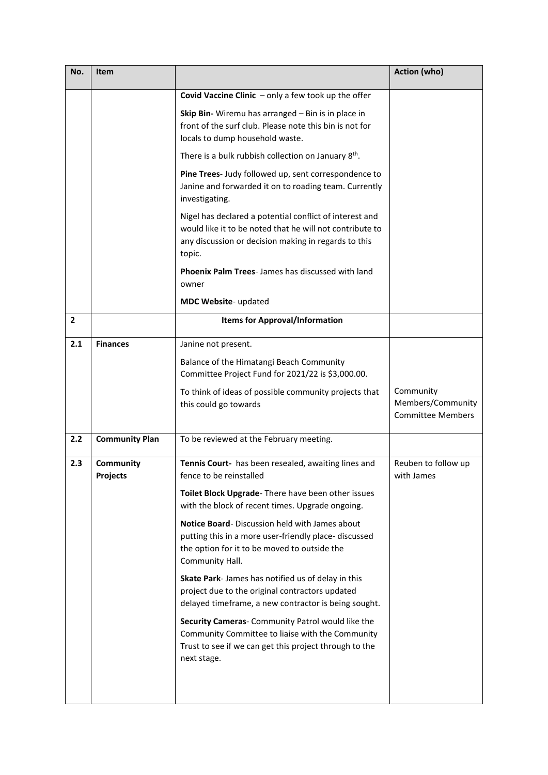| No. | Item                         |                                                                                                                                                                                       | Action (who)                                               |
|-----|------------------------------|---------------------------------------------------------------------------------------------------------------------------------------------------------------------------------------|------------------------------------------------------------|
|     |                              | Covid Vaccine Clinic $-$ only a few took up the offer                                                                                                                                 |                                                            |
|     |                              | Skip Bin- Wiremu has arranged - Bin is in place in<br>front of the surf club. Please note this bin is not for<br>locals to dump household waste.                                      |                                                            |
|     |                              | There is a bulk rubbish collection on January 8 <sup>th</sup> .                                                                                                                       |                                                            |
|     |                              | Pine Trees- Judy followed up, sent correspondence to<br>Janine and forwarded it on to roading team. Currently<br>investigating.                                                       |                                                            |
|     |                              | Nigel has declared a potential conflict of interest and<br>would like it to be noted that he will not contribute to<br>any discussion or decision making in regards to this<br>topic. |                                                            |
|     |                              | <b>Phoenix Palm Trees-James has discussed with land</b><br>owner                                                                                                                      |                                                            |
|     |                              | MDC Website- updated                                                                                                                                                                  |                                                            |
| 2   |                              | <b>Items for Approval/Information</b>                                                                                                                                                 |                                                            |
| 2.1 | <b>Finances</b>              | Janine not present.                                                                                                                                                                   |                                                            |
|     |                              | Balance of the Himatangi Beach Community<br>Committee Project Fund for 2021/22 is \$3,000.00.                                                                                         |                                                            |
|     |                              | To think of ideas of possible community projects that<br>this could go towards                                                                                                        | Community<br>Members/Community<br><b>Committee Members</b> |
| 2.2 | <b>Community Plan</b>        | To be reviewed at the February meeting.                                                                                                                                               |                                                            |
| 2.3 | Community<br><b>Projects</b> | Tennis Court- has been resealed, awaiting lines and<br>fence to be reinstalled                                                                                                        | Reuben to follow up<br>with James                          |
|     |                              | Toilet Block Upgrade-There have been other issues<br>with the block of recent times. Upgrade ongoing.                                                                                 |                                                            |
|     |                              | Notice Board-Discussion held with James about<br>putting this in a more user-friendly place- discussed<br>the option for it to be moved to outside the<br>Community Hall.             |                                                            |
|     |                              | Skate Park-James has notified us of delay in this<br>project due to the original contractors updated<br>delayed timeframe, a new contractor is being sought.                          |                                                            |
|     |                              | Security Cameras- Community Patrol would like the<br>Community Committee to liaise with the Community<br>Trust to see if we can get this project through to the<br>next stage.        |                                                            |
|     |                              |                                                                                                                                                                                       |                                                            |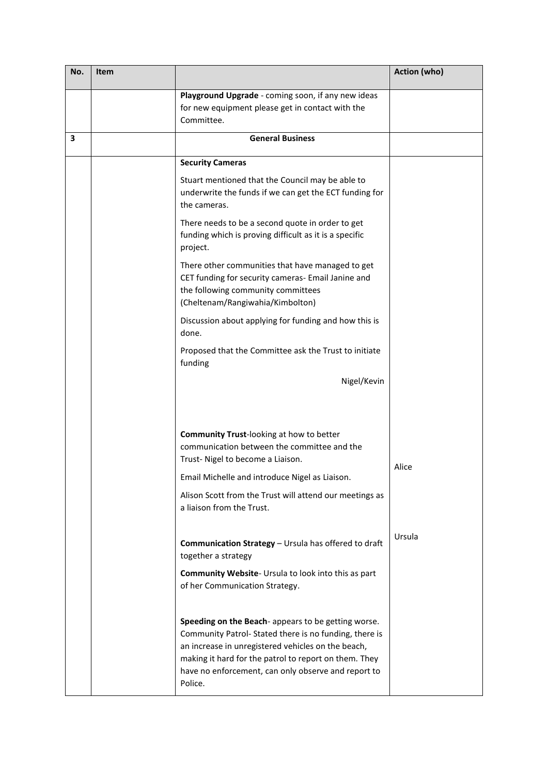| No. | Item |                                                                                                                                                                                                                                                                                              | Action (who) |
|-----|------|----------------------------------------------------------------------------------------------------------------------------------------------------------------------------------------------------------------------------------------------------------------------------------------------|--------------|
|     |      | Playground Upgrade - coming soon, if any new ideas<br>for new equipment please get in contact with the<br>Committee.                                                                                                                                                                         |              |
| 3   |      | <b>General Business</b>                                                                                                                                                                                                                                                                      |              |
|     |      | <b>Security Cameras</b>                                                                                                                                                                                                                                                                      |              |
|     |      | Stuart mentioned that the Council may be able to<br>underwrite the funds if we can get the ECT funding for<br>the cameras.                                                                                                                                                                   |              |
|     |      | There needs to be a second quote in order to get<br>funding which is proving difficult as it is a specific<br>project.                                                                                                                                                                       |              |
|     |      | There other communities that have managed to get<br>CET funding for security cameras- Email Janine and<br>the following community committees<br>(Cheltenam/Rangiwahia/Kimbolton)                                                                                                             |              |
|     |      | Discussion about applying for funding and how this is<br>done.                                                                                                                                                                                                                               |              |
|     |      | Proposed that the Committee ask the Trust to initiate<br>funding                                                                                                                                                                                                                             |              |
|     |      | Nigel/Kevin                                                                                                                                                                                                                                                                                  |              |
|     |      | <b>Community Trust-looking at how to better</b><br>communication between the committee and the<br>Trust- Nigel to become a Liaison.                                                                                                                                                          | Alice        |
|     |      | Email Michelle and introduce Nigel as Liaison.                                                                                                                                                                                                                                               |              |
|     |      | Alison Scott from the Trust will attend our meetings as<br>a liaison from the Trust.                                                                                                                                                                                                         |              |
|     |      | Communication Strategy - Ursula has offered to draft<br>together a strategy                                                                                                                                                                                                                  | Ursula       |
|     |      | <b>Community Website-</b> Ursula to look into this as part<br>of her Communication Strategy.                                                                                                                                                                                                 |              |
|     |      | Speeding on the Beach-appears to be getting worse.<br>Community Patrol-Stated there is no funding, there is<br>an increase in unregistered vehicles on the beach,<br>making it hard for the patrol to report on them. They<br>have no enforcement, can only observe and report to<br>Police. |              |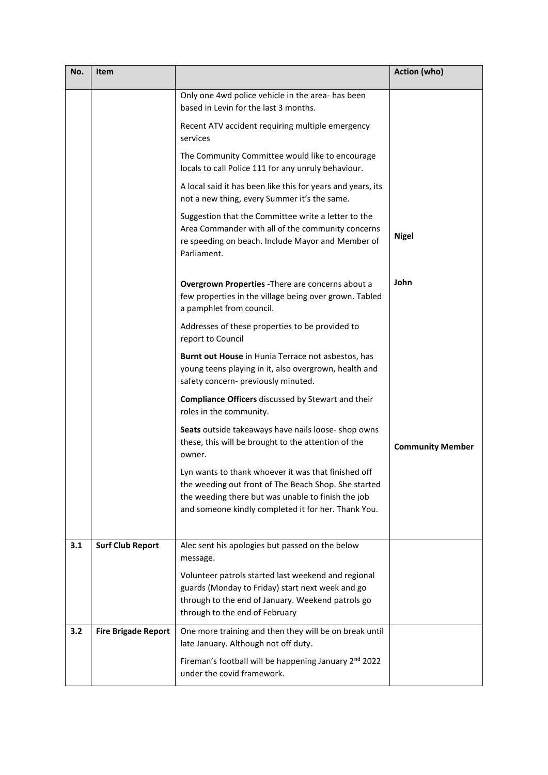| No. | Item                       |                                                                                                                                                                                                                          | <b>Action (who)</b>     |
|-----|----------------------------|--------------------------------------------------------------------------------------------------------------------------------------------------------------------------------------------------------------------------|-------------------------|
|     |                            | Only one 4wd police vehicle in the area- has been<br>based in Levin for the last 3 months.                                                                                                                               |                         |
|     |                            | Recent ATV accident requiring multiple emergency<br>services                                                                                                                                                             |                         |
|     |                            | The Community Committee would like to encourage<br>locals to call Police 111 for any unruly behaviour.                                                                                                                   |                         |
|     |                            | A local said it has been like this for years and years, its<br>not a new thing, every Summer it's the same.                                                                                                              |                         |
|     |                            | Suggestion that the Committee write a letter to the<br>Area Commander with all of the community concerns<br>re speeding on beach. Include Mayor and Member of<br>Parliament.                                             | <b>Nigel</b>            |
|     |                            | Overgrown Properties - There are concerns about a<br>few properties in the village being over grown. Tabled<br>a pamphlet from council.                                                                                  | John                    |
|     |                            | Addresses of these properties to be provided to<br>report to Council                                                                                                                                                     |                         |
|     |                            | Burnt out House in Hunia Terrace not asbestos, has<br>young teens playing in it, also overgrown, health and<br>safety concern- previously minuted.                                                                       |                         |
|     |                            | Compliance Officers discussed by Stewart and their<br>roles in the community.                                                                                                                                            |                         |
|     |                            | Seats outside takeaways have nails loose- shop owns<br>these, this will be brought to the attention of the<br>owner.                                                                                                     | <b>Community Member</b> |
|     |                            | Lyn wants to thank whoever it was that finished off<br>the weeding out front of The Beach Shop. She started<br>the weeding there but was unable to finish the job<br>and someone kindly completed it for her. Thank You. |                         |
| 3.1 | <b>Surf Club Report</b>    | Alec sent his apologies but passed on the below<br>message.                                                                                                                                                              |                         |
|     |                            | Volunteer patrols started last weekend and regional<br>guards (Monday to Friday) start next week and go<br>through to the end of January. Weekend patrols go<br>through to the end of February                           |                         |
| 3.2 | <b>Fire Brigade Report</b> | One more training and then they will be on break until<br>late January. Although not off duty.                                                                                                                           |                         |
|     |                            | Fireman's football will be happening January 2 <sup>nd</sup> 2022<br>under the covid framework.                                                                                                                          |                         |